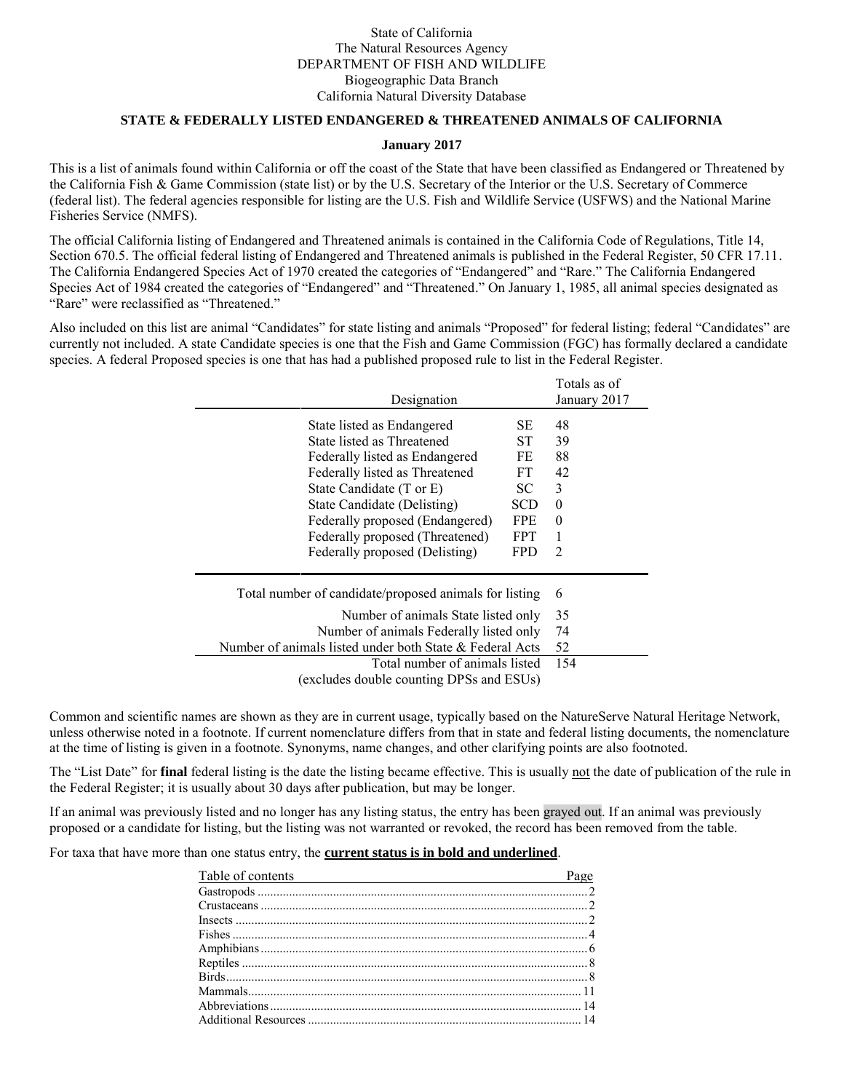## State of California The Natural Resources Agency DEPARTMENT OF FISH AND WILDLIFE Biogeographic Data Branch California Natural Diversity Database

## **STATE & FEDERALLY LISTED ENDANGERED & THREATENED ANIMALS OF CALIFORNIA**

#### **January 2017**

This is a list of animals found within California or off the coast of the State that have been classified as Endangered or Threatened by the California Fish & Game Commission (state list) or by the U.S. Secretary of the Interior or the U.S. Secretary of Commerce (federal list). The federal agencies responsible for listing are the U.S. Fish and Wildlife Service (USFWS) and the National Marine Fisheries Service (NMFS).

The official California listing of Endangered and Threatened animals is contained in the California Code of Regulations, Title 14, Section 670.5. The official federal listing of Endangered and Threatened animals is published in the Federal Register, 50 CFR 17.11. The California Endangered Species Act of 1970 created the categories of "Endangered" and "Rare." The California Endangered Species Act of 1984 created the categories of "Endangered" and "Threatened." On January 1, 1985, all animal species designated as "Rare" were reclassified as "Threatened."

Also included on this list are animal "Candidates" for state listing and animals "Proposed" for federal listing; federal "Candidates" are currently not included. A state Candidate species is one that the Fish and Game Commission (FGC) has formally declared a candidate species. A federal Proposed species is one that has had a published proposed rule to list in the Federal Register.

| Designation                                              |            | Totals as of<br>January 2017 |
|----------------------------------------------------------|------------|------------------------------|
| State listed as Endangered                               | <b>SE</b>  | 48                           |
| State listed as Threatened                               | ST.        | 39                           |
| Federally listed as Endangered                           | FE         | 88                           |
| Federally listed as Threatened                           | FT.        | 42                           |
| State Candidate (T or E)                                 | SC         | 3                            |
| State Candidate (Delisting)                              | SCD        | 0                            |
| Federally proposed (Endangered)                          | FPE        | $\theta$                     |
| Federally proposed (Threatened)                          | <b>FPT</b> |                              |
| Federally proposed (Delisting)                           | <b>FPD</b> | $\mathfrak{D}$               |
| Total number of candidate/proposed animals for listing   |            | 6                            |
| Number of animals State listed only                      |            | 35                           |
| Number of animals Federally listed only                  |            | 74                           |
| Number of animals listed under both State & Federal Acts |            | 52                           |
| Total number of animals listed                           |            | 154                          |
| excludes double counting DPSs and ESUs)                  |            |                              |

Common and scientific names are shown as they are in current usage, typically based on the NatureServe Natural Heritage Network, unless otherwise noted in a footnote. If current nomenclature differs from that in state and federal listing documents, the nomenclature at the time of listing is given in a footnote. Synonyms, name changes, and other clarifying points are also footnoted.

The "List Date" for **final** federal listing is the date the listing became effective. This is usually not the date of publication of the rule in the Federal Register; it is usually about 30 days after publication, but may be longer.

If an animal was previously listed and no longer has any listing status, the entry has been grayed out. If an animal was previously proposed or a candidate for listing, but the listing was not warranted or revoked, the record has been removed from the table.

For taxa that have more than one status entry, the **current status is in bold and underlined**.

| Table of contents<br>Page |  |
|---------------------------|--|
|                           |  |
|                           |  |
|                           |  |
|                           |  |
|                           |  |
|                           |  |
|                           |  |
|                           |  |
|                           |  |
|                           |  |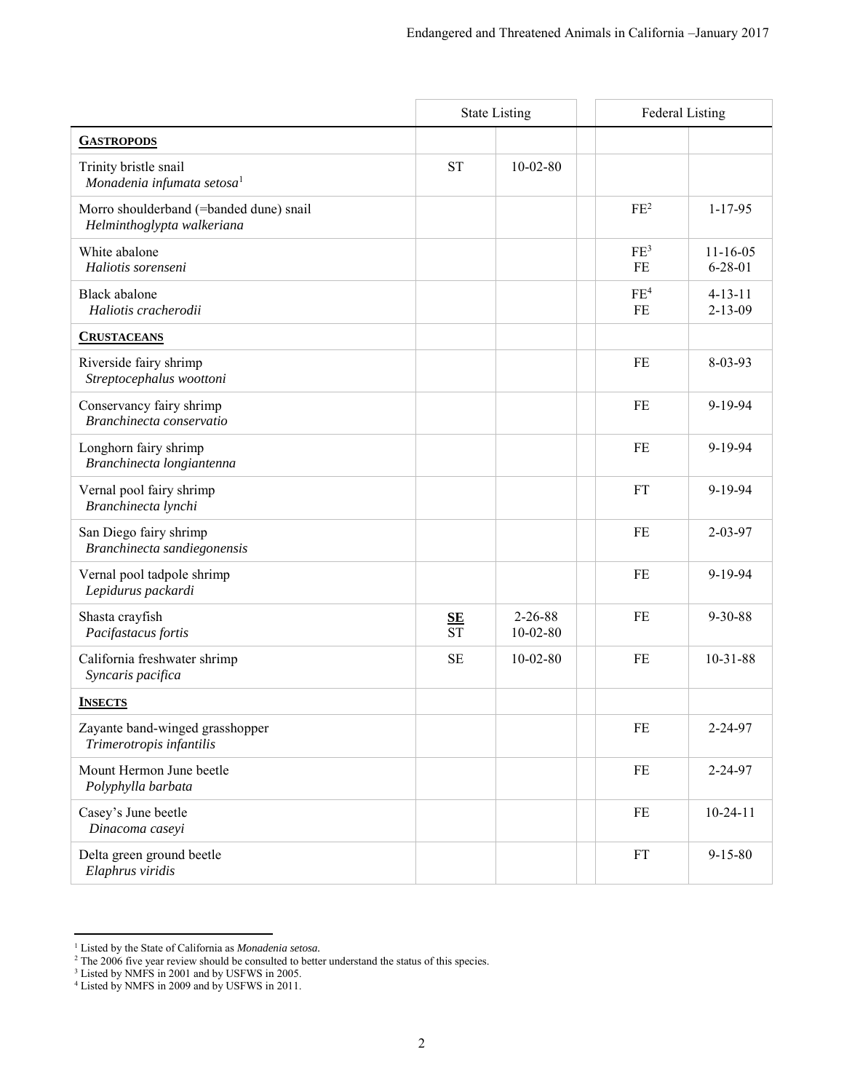<span id="page-1-1"></span><span id="page-1-0"></span>

|                                                                       |                               | <b>State Listing</b>        | <b>Federal Listing</b> |                                 |
|-----------------------------------------------------------------------|-------------------------------|-----------------------------|------------------------|---------------------------------|
| <b>GASTROPODS</b>                                                     |                               |                             |                        |                                 |
| Trinity bristle snail<br>Monadenia infumata setosa <sup>1</sup>       | <b>ST</b>                     | $10 - 02 - 80$              |                        |                                 |
| Morro shoulderband (=banded dune) snail<br>Helminthoglypta walkeriana |                               |                             | FE <sup>2</sup>        | $1 - 17 - 95$                   |
| White abalone<br>Haliotis sorenseni                                   |                               |                             | FE <sup>3</sup><br>FE  | $11 - 16 - 05$<br>$6 - 28 - 01$ |
| <b>Black</b> abalone<br>Haliotis cracherodii                          |                               |                             | FE <sup>4</sup><br>FE  | $4 - 13 - 11$<br>$2 - 13 - 09$  |
| <b>CRUSTACEANS</b>                                                    |                               |                             |                        |                                 |
| Riverside fairy shrimp<br>Streptocephalus woottoni                    |                               |                             | FE                     | 8-03-93                         |
| Conservancy fairy shrimp<br>Branchinecta conservatio                  |                               |                             | FE                     | 9-19-94                         |
| Longhorn fairy shrimp<br>Branchinecta longiantenna                    |                               |                             | FE                     | 9-19-94                         |
| Vernal pool fairy shrimp<br>Branchinecta lynchi                       |                               |                             | <b>FT</b>              | 9-19-94                         |
| San Diego fairy shrimp<br>Branchinecta sandiegonensis                 |                               |                             | FE                     | $2 - 03 - 97$                   |
| Vernal pool tadpole shrimp<br>Lepidurus packardi                      |                               |                             | <b>FE</b>              | 9-19-94                         |
| Shasta crayfish<br>Pacifastacus fortis                                | $\frac{\text{SE}}{\text{ST}}$ | $2 - 26 - 88$<br>$10-02-80$ | FE                     | $9 - 30 - 88$                   |
| California freshwater shrimp<br>Syncaris pacifica                     | <b>SE</b>                     | $10-02-80$                  | FE                     | $10-31-88$                      |
| <b>INSECTS</b>                                                        |                               |                             |                        |                                 |
| Zayante band-winged grasshopper<br>Trimerotropis infantilis           |                               |                             | FE                     | 2-24-97                         |
| Mount Hermon June beetle<br>Polyphylla barbata                        |                               |                             | FE                     | 2-24-97                         |
| Casey's June beetle<br>Dinacoma caseyi                                |                               |                             | FE                     | $10-24-11$                      |
| Delta green ground beetle<br>Elaphrus viridis                         |                               |                             | <b>FT</b>              | $9 - 15 - 80$                   |

<span id="page-1-2"></span><sup>&</sup>lt;sup>1</sup> Listed by the State of California as *Monadenia setosa*.<br>
<sup>2</sup> The 2006 five year review should be consulted to better understand the status of this species.<br>
<sup>3</sup> Listed by NMFS in 2001 and by USFWS in 2005.<br>
<sup>4</sup> Liste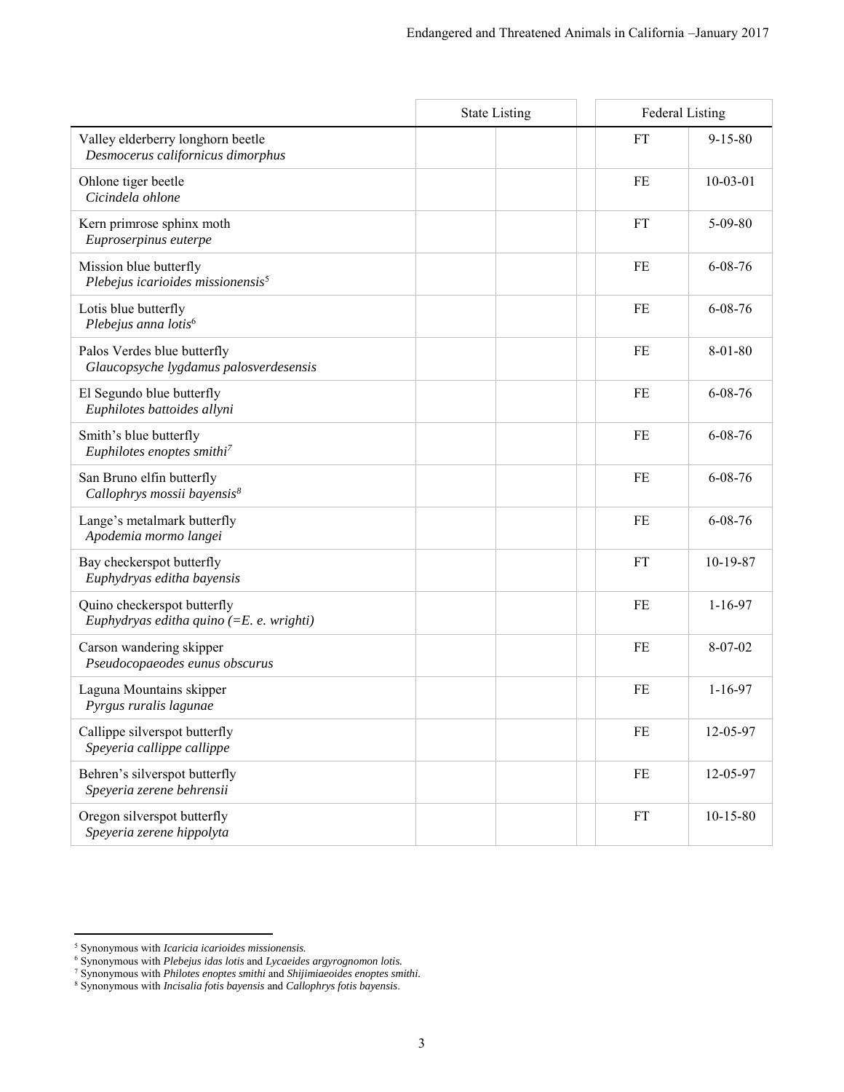|                                                                           | <b>State Listing</b> | <b>Federal Listing</b> |               |
|---------------------------------------------------------------------------|----------------------|------------------------|---------------|
| Valley elderberry longhorn beetle<br>Desmocerus californicus dimorphus    |                      | FT                     | $9 - 15 - 80$ |
| Ohlone tiger beetle<br>Cicindela ohlone                                   |                      | FE                     | $10-03-01$    |
| Kern primrose sphinx moth<br>Euproserpinus euterpe                        |                      | FT                     | $5 - 09 - 80$ |
| Mission blue butterfly<br>Plebejus icarioides missionensis <sup>5</sup>   |                      | FE                     | $6 - 08 - 76$ |
| Lotis blue butterfly<br>Plebejus anna lotis <sup>6</sup>                  |                      | FE                     | $6 - 08 - 76$ |
| Palos Verdes blue butterfly<br>Glaucopsyche lygdamus palosverdesensis     |                      | FE                     | $8 - 01 - 80$ |
| El Segundo blue butterfly<br>Euphilotes battoides allyni                  |                      | FE                     | $6 - 08 - 76$ |
| Smith's blue butterfly<br>Euphilotes enoptes smithi <sup>7</sup>          |                      | FE                     | $6 - 08 - 76$ |
| San Bruno elfin butterfly<br>Callophrys mossii bayensis <sup>8</sup>      |                      | FE                     | $6 - 08 - 76$ |
| Lange's metalmark butterfly<br>Apodemia mormo langei                      |                      | FE                     | $6 - 08 - 76$ |
| Bay checkerspot butterfly<br>Euphydryas editha bayensis                   |                      | FT                     | 10-19-87      |
| Quino checkerspot butterfly<br>Euphydryas editha quino $(=E. e. wrighti)$ |                      | FE                     | $1 - 16 - 97$ |
| Carson wandering skipper<br>Pseudocopaeodes eunus obscurus                |                      | FE                     | $8 - 07 - 02$ |
| Laguna Mountains skipper<br>Pyrgus ruralis lagunae                        |                      | FE                     | $1 - 16 - 97$ |
| Callippe silverspot butterfly<br>Speyeria callippe callippe               |                      | FE                     | 12-05-97      |
| Behren's silverspot butterfly<br>Speyeria zerene behrensii                |                      | FE                     | 12-05-97      |
| Oregon silverspot butterfly<br>Speyeria zerene hippolyta                  |                      | FT                     | $10-15-80$    |

<sup>&</sup>lt;sup>5</sup> Synonymous with *Icaricia icarioides missionensis.*<br><sup>6</sup> Synonymous with *Plebejus idas lotis and Lycaeides argyrognomon lotis.*<br>7 Synonymous with *Philotes enoptes smithi and Shijimiaeoides enoptes smithi.*<br>8 Synonymou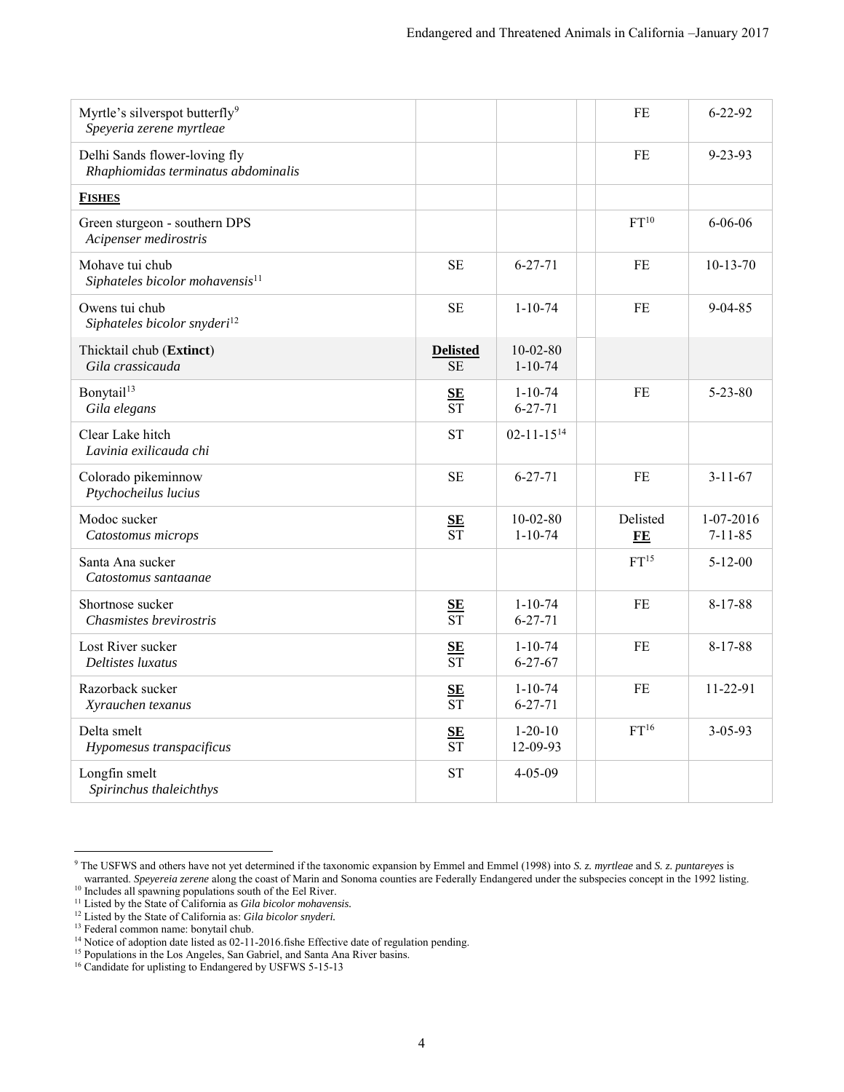<span id="page-3-0"></span>

| Myrtle's silverspot butterfly <sup>9</sup><br>Speyeria zerene myrtleae |                                            |                                 | FE               | $6 - 22 - 92$                |
|------------------------------------------------------------------------|--------------------------------------------|---------------------------------|------------------|------------------------------|
| Delhi Sands flower-loving fly<br>Rhaphiomidas terminatus abdominalis   |                                            |                                 | FE               | $9 - 23 - 93$                |
| <b>FISHES</b>                                                          |                                            |                                 |                  |                              |
| Green sturgeon - southern DPS<br>Acipenser medirostris                 |                                            |                                 | FT <sup>10</sup> | $6 - 06 - 06$                |
| Mohave tui chub<br>Siphateles bicolor mohavensis <sup>11</sup>         | $\rm SE$                                   | $6 - 27 - 71$                   | FE               | $10-13-70$                   |
| Owens tui chub<br>Siphateles bicolor snyderi <sup>12</sup>             | $\rm SE$                                   | $1 - 10 - 74$                   | FE               | $9 - 04 - 85$                |
| Thicktail chub (Extinct)<br>Gila crassicauda                           | <b>Delisted</b><br><b>SE</b>               | $10 - 02 - 80$<br>$1 - 10 - 74$ |                  |                              |
| Bonytail <sup>13</sup><br>Gila elegans                                 | SE<br>$\overline{\text{ST}}$               | $1 - 10 - 74$<br>$6 - 27 - 71$  | FE               | $5 - 23 - 80$                |
| Clear Lake hitch<br>Lavinia exilicauda chi                             | <b>ST</b>                                  | $02 - 11 - 15^{14}$             |                  |                              |
| Colorado pikeminnow<br>Ptychocheilus lucius                            | <b>SE</b>                                  | $6 - 27 - 71$                   | <b>FE</b>        | $3 - 11 - 67$                |
| Modoc sucker<br>Catostomus microps                                     | $\frac{\text{SE}}{\text{ST}}$              | $10 - 02 - 80$<br>$1 - 10 - 74$ | Delisted<br>FE   | $1-07-2016$<br>$7 - 11 - 85$ |
| Santa Ana sucker<br>Catostomus santaanae                               |                                            |                                 | FT <sup>15</sup> | $5 - 12 - 00$                |
| Shortnose sucker<br>Chasmistes brevirostris                            | $\frac{\text{SE}}{\text{ST}}$              | $1 - 10 - 74$<br>$6 - 27 - 71$  | FE               | $8-17-88$                    |
| Lost River sucker<br>Deltistes luxatus                                 | $S_{\mathbf{E}}$<br>$\overline{\text{ST}}$ | $1 - 10 - 74$<br>$6 - 27 - 67$  | FE               | $8 - 17 - 88$                |
| Razorback sucker<br>Xyrauchen texanus                                  | $\frac{\text{SE}}{\text{ST}}$              | $1 - 10 - 74$<br>$6 - 27 - 71$  | FE               | 11-22-91                     |
| Delta smelt<br>Hypomesus transpacificus                                | SE<br>$\overline{\text{ST}}$               | $1 - 20 - 10$<br>12-09-93       | FT <sup>16</sup> | $3 - 05 - 93$                |
| Longfin smelt<br>Spirinchus thaleichthys                               | <b>ST</b>                                  | $4 - 05 - 09$                   |                  |                              |

 9 The USFWS and others have not yet determined if the taxonomic expansion by Emmel and Emmel (1998) into *S. z. myrtleae* and *S. z. puntareyes* is warranted. *Speyereia zerene* along the coast of Marin and Sonoma counties are Federally Endangered under the subspecies concept in the 1992 listing.

<sup>&</sup>lt;sup>10</sup> Includes all spawning populations south of the Eel River.

<sup>11</sup> Listed by the State of California as *Gila bicolor mohavensis.*  <sup>12</sup> Listed by the State of California as: *Gila bicolor snyderi*.

<sup>&</sup>lt;sup>13</sup> Federal common name: bonytail chub.

<sup>&</sup>lt;sup>14</sup> Notice of adoption date listed as 02-11-2016.fishe Effective date of regulation pending.

<sup>&</sup>lt;sup>15</sup> Populations in the Los Angeles, San Gabriel, and Santa Ana River basins.

<sup>&</sup>lt;sup>16</sup> Candidate for uplisting to Endangered by USFWS 5-15-13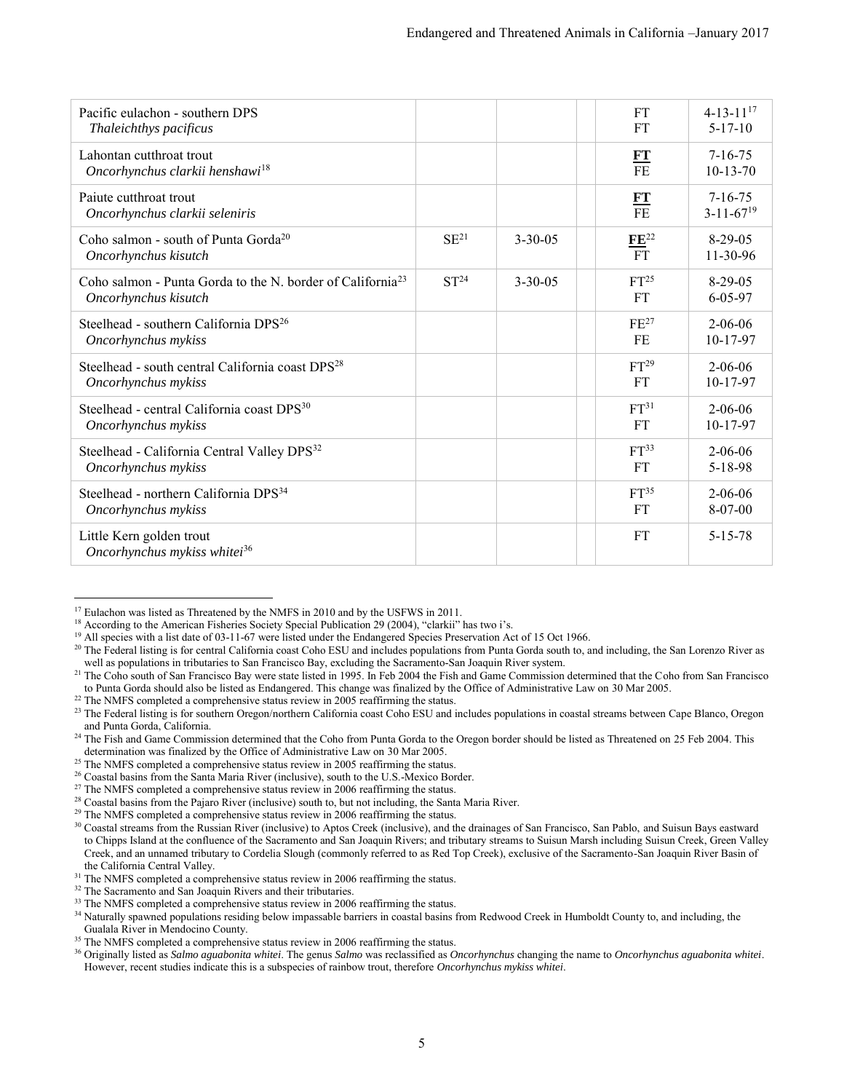| Pacific eulachon - southern DPS<br>Thaleichthys pacificus                                      |                  |               | <b>FT</b><br><b>FT</b>        | $4 - 13 - 11^{17}$<br>$5 - 17 - 10$          |
|------------------------------------------------------------------------------------------------|------------------|---------------|-------------------------------|----------------------------------------------|
| Lahontan cutthroat trout<br>Oncorhynchus clarkii henshawi <sup>18</sup>                        |                  |               | FT<br>F <sub>E</sub>          | $7 - 16 - 75$<br>$10-13-70$                  |
| Paiute cutthroat trout<br>Oncorhynchus clarkii seleniris                                       |                  |               | $\frac{FT}{FE}$               | $7 - 16 - 75$<br>$3 - 11 - 67$ <sup>19</sup> |
| Coho salmon - south of Punta Gorda <sup>20</sup><br>Oncorhynchus kisutch                       | $SE^{21}$        | $3 - 30 - 05$ | $\frac{FE^{22}}{FT}$          | $8-29-05$<br>$11-30-96$                      |
| Coho salmon - Punta Gorda to the N. border of California <sup>23</sup><br>Oncorhynchus kisutch | ST <sup>24</sup> | $3 - 30 - 05$ | FT <sup>25</sup><br><b>FT</b> | $8-29-05$<br>$6 - 05 - 97$                   |
| Steelhead - southern California DPS <sup>26</sup><br>Oncorhynchus mykiss                       |                  |               | $FE^{27}$<br>FE               | $2 - 06 - 06$<br>10-17-97                    |
| Steelhead - south central California coast DPS <sup>28</sup><br>Oncorhynchus mykiss            |                  |               | FT <sup>29</sup><br>FT        | $2 - 06 - 06$<br>10-17-97                    |
| Steelhead - central California coast DPS <sup>30</sup><br>Oncorhynchus mykiss                  |                  |               | FT <sup>31</sup><br><b>FT</b> | $2 - 06 - 06$<br>10-17-97                    |
| Steelhead - California Central Valley DPS <sup>32</sup><br>Oncorhynchus mykiss                 |                  |               | FT <sup>33</sup><br>FT        | $2 - 06 - 06$<br>$5 - 18 - 98$               |
| Steelhead - northern California DPS <sup>34</sup><br>Oncorhynchus mykiss                       |                  |               | FT <sup>35</sup><br>FT        | $2 - 06 - 06$<br>$8-07-00$                   |
| Little Kern golden trout<br>Oncorhynchus mykiss whitei <sup>36</sup>                           |                  |               | FT                            | $5 - 15 - 78$                                |

<sup>&</sup>lt;sup>17</sup> Eulachon was listed as Threatened by the NMFS in 2010 and by the USFWS in 2011.

<sup>&</sup>lt;sup>18</sup> According to the American Fisheries Society Special Publication 29 (2004), "clarkii" has two i's.

<sup>&</sup>lt;sup>19</sup> All species with a list date of 03-11-67 were listed under the Endangered Species Preservation Act of 15 Oct 1966.

<sup>&</sup>lt;sup>20</sup> The Federal listing is for central California coast Coho ESU and includes populations from Punta Gorda south to, and including, the San Lorenzo River as well as populations in tributaries to San Francisco Bay, excluding the Sacramento-San Joaquin River system.

<sup>&</sup>lt;sup>21</sup> The Coho south of San Francisco Bay were state listed in 1995. In Feb 2004 the Fish and Game Commission determined that the Coho from San Francisco to Punta Gorda should also be listed as Endangered. This change was finalized by the Office of Administrative Law on 30 Mar 2005.

<sup>&</sup>lt;sup>22</sup> The NMFS completed a comprehensive status review in 2005 reaffirming the status.

<sup>&</sup>lt;sup>23</sup> The Federal listing is for southern Oregon/northern California coast Coho ESU and includes populations in coastal streams between Cape Blanco, Oregon and Punta Gorda, California.

<sup>&</sup>lt;sup>24</sup> The Fish and Game Commission determined that the Coho from Punta Gorda to the Oregon border should be listed as Threatened on 25 Feb 2004. This determination was finalized by the Office of Administrative Law on 30 Mar 2005.

<sup>&</sup>lt;sup>25</sup> The NMFS completed a comprehensive status review in 2005 reaffirming the status.

<sup>&</sup>lt;sup>26</sup> Coastal basins from the Santa Maria River (inclusive), south to the U.S.-Mexico Border.

 $27$  The NMFS completed a comprehensive status review in 2006 reaffirming the status.

<sup>&</sup>lt;sup>28</sup> Coastal basins from the Pajaro River (inclusive) south to, but not including, the Santa Maria River.

 $29$  The NMFS completed a comprehensive status review in 2006 reaffirming the status.

<sup>30</sup> Coastal streams from the Russian River (inclusive) to Aptos Creek (inclusive), and the drainages of San Francisco, San Pablo, and Suisun Bays eastward to Chipps Island at the confluence of the Sacramento and San Joaquin Rivers; and tributary streams to Suisun Marsh including Suisun Creek, Green Valley Creek, and an unnamed tributary to Cordelia Slough (commonly referred to as Red Top Creek), exclusive of the Sacramento-San Joaquin River Basin of the California Central Valley.

<sup>&</sup>lt;sup>31</sup> The NMFS completed a comprehensive status review in 2006 reaffirming the status.

<sup>&</sup>lt;sup>32</sup> The Sacramento and San Joaquin Rivers and their tributaries.

<sup>&</sup>lt;sup>33</sup> The NMFS completed a comprehensive status review in 2006 reaffirming the status.

<sup>&</sup>lt;sup>34</sup> Naturally spawned populations residing below impassable barriers in coastal basins from Redwood Creek in Humboldt County to, and including, the Gualala River in Mendocino County.

<sup>&</sup>lt;sup>35</sup> The NMFS completed a comprehensive status review in 2006 reaffirming the status.

<sup>36</sup> Originally listed as *Salmo aguabonita whitei*. The genus *Salmo* was reclassified as *Oncorhynchus* changing the name to *Oncorhynchus aguabonita whitei*. However, recent studies indicate this is a subspecies of rainbow trout, therefore *Oncorhynchus mykiss whitei*.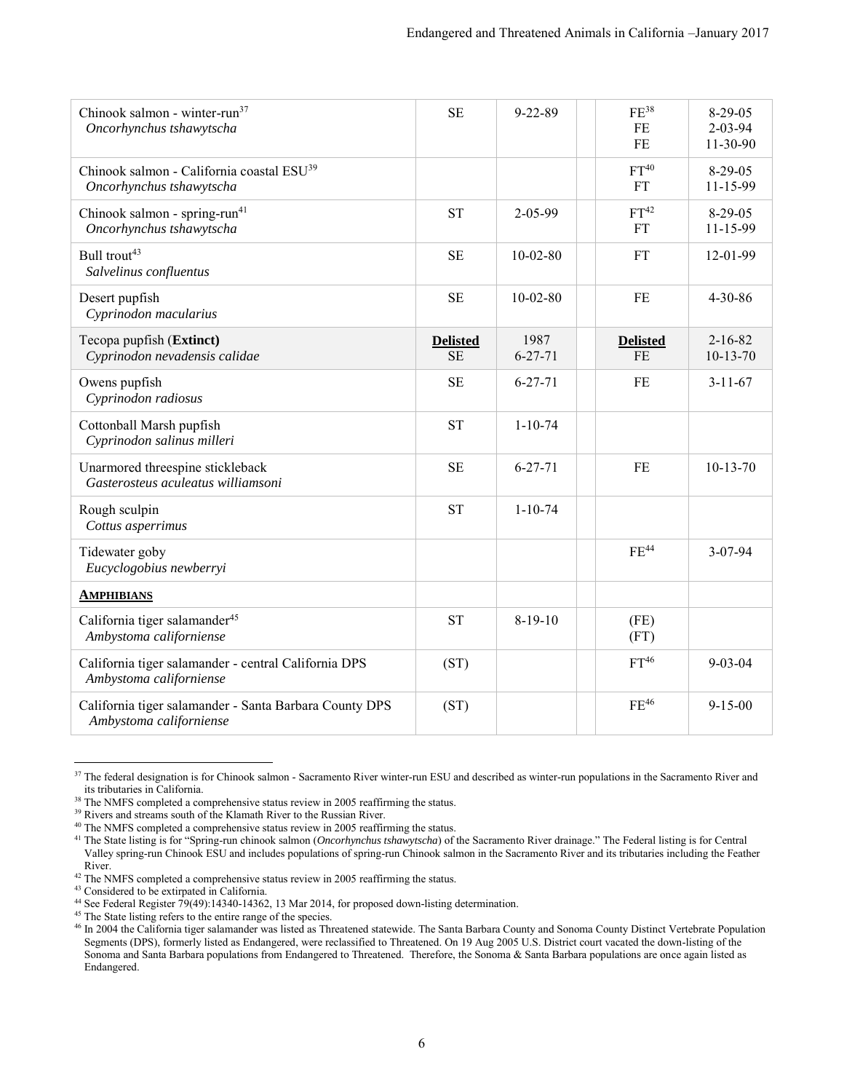| Chinook salmon - winter-run <sup>37</sup><br>Oncorhynchus tshawytscha             | <b>SE</b>                    | $9 - 22 - 89$         | $FE^{38}$<br>FE<br>FE  | $8-29-05$<br>$2 - 03 - 94$<br>11-30-90 |
|-----------------------------------------------------------------------------------|------------------------------|-----------------------|------------------------|----------------------------------------|
| Chinook salmon - California coastal ESU <sup>39</sup><br>Oncorhynchus tshawytscha |                              |                       | $FT^{40}$<br><b>FT</b> | $8-29-05$<br>11-15-99                  |
| Chinook salmon - spring-run <sup>41</sup><br>Oncorhynchus tshawytscha             | <b>ST</b>                    | 2-05-99               | FT <sup>42</sup><br>FT | $8-29-05$<br>11-15-99                  |
| Bull trout <sup>43</sup><br>Salvelinus confluentus                                | <b>SE</b>                    | $10 - 02 - 80$        | <b>FT</b>              | 12-01-99                               |
| Desert pupfish<br>Cyprinodon macularius                                           | <b>SE</b>                    | $10-02-80$            | FE                     | $4 - 30 - 86$                          |
| Tecopa pupfish (Extinct)<br>Cyprinodon nevadensis calidae                         | <b>Delisted</b><br><b>SE</b> | 1987<br>$6 - 27 - 71$ | <b>Delisted</b><br>FE  | $2 - 16 - 82$<br>$10-13-70$            |
| Owens pupfish<br>Cyprinodon radiosus                                              | <b>SE</b>                    | $6 - 27 - 71$         | FE                     | $3 - 11 - 67$                          |
| Cottonball Marsh pupfish<br>Cyprinodon salinus milleri                            | <b>ST</b>                    | $1 - 10 - 74$         |                        |                                        |
| Unarmored threespine stickleback<br>Gasterosteus aculeatus williamsoni            | <b>SE</b>                    | $6 - 27 - 71$         | FE                     | $10-13-70$                             |
| Rough sculpin<br>Cottus asperrimus                                                | <b>ST</b>                    | $1 - 10 - 74$         |                        |                                        |
| Tidewater goby<br>Eucyclogobius newberryi                                         |                              |                       | FE <sup>44</sup>       | 3-07-94                                |
| <b>AMPHIBIANS</b>                                                                 |                              |                       |                        |                                        |
| California tiger salamander <sup>45</sup><br>Ambystoma californiense              | <b>ST</b>                    | $8-19-10$             | (FE)<br>(FT)           |                                        |
| California tiger salamander - central California DPS<br>Ambystoma californiense   | (ST)                         |                       | FT <sup>46</sup>       | $9 - 03 - 04$                          |
| California tiger salamander - Santa Barbara County DPS<br>Ambystoma californiense | (ST)                         |                       | $FE^{46}$              | $9 - 15 - 00$                          |

<span id="page-5-1"></span><span id="page-5-0"></span> $37$  The federal designation is for Chinook salmon - Sacramento River winter-run ESU and described as winter-run populations in the Sacramento River and its tributaries in California.

<sup>&</sup>lt;sup>38</sup> The NMFS completed a comprehensive status review in 2005 reaffirming the status.

<sup>&</sup>lt;sup>39</sup> Rivers and streams south of the Klamath River to the Russian River.

<sup>40</sup> The NMFS completed a comprehensive status review in 2005 reaffirming the status.

<sup>41</sup> The State listing is for "Spring-run chinook salmon (*Oncorhynchus tshawytscha*) of the Sacramento River drainage." The Federal listing is for Central Valley spring-run Chinook ESU and includes populations of spring-run Chinook salmon in the Sacramento River and its tributaries including the Feather River.

<sup>&</sup>lt;sup>42</sup> The NMFS completed a comprehensive status review in 2005 reaffirming the status.

<sup>43</sup> Considered to be extirpated in California.

<sup>&</sup>lt;sup>44</sup> See Federal Register 79(49):14340-14362, 13 Mar 2014, for proposed down-listing determination.

<sup>45</sup> The State listing refers to the entire range of the species.

<sup>&</sup>lt;sup>46</sup> In 2004 the California tiger salamander was listed as Threatened statewide. The Santa Barbara County and Sonoma County Distinct Vertebrate Population Segments (DPS), formerly listed as Endangered, were reclassified to Threatened. On 19 Aug 2005 U.S. District court vacated the down-listing of the Sonoma and Santa Barbara populations from Endangered to Threatened. Therefore, the Sonoma & Santa Barbara populations are once again listed as Endangered.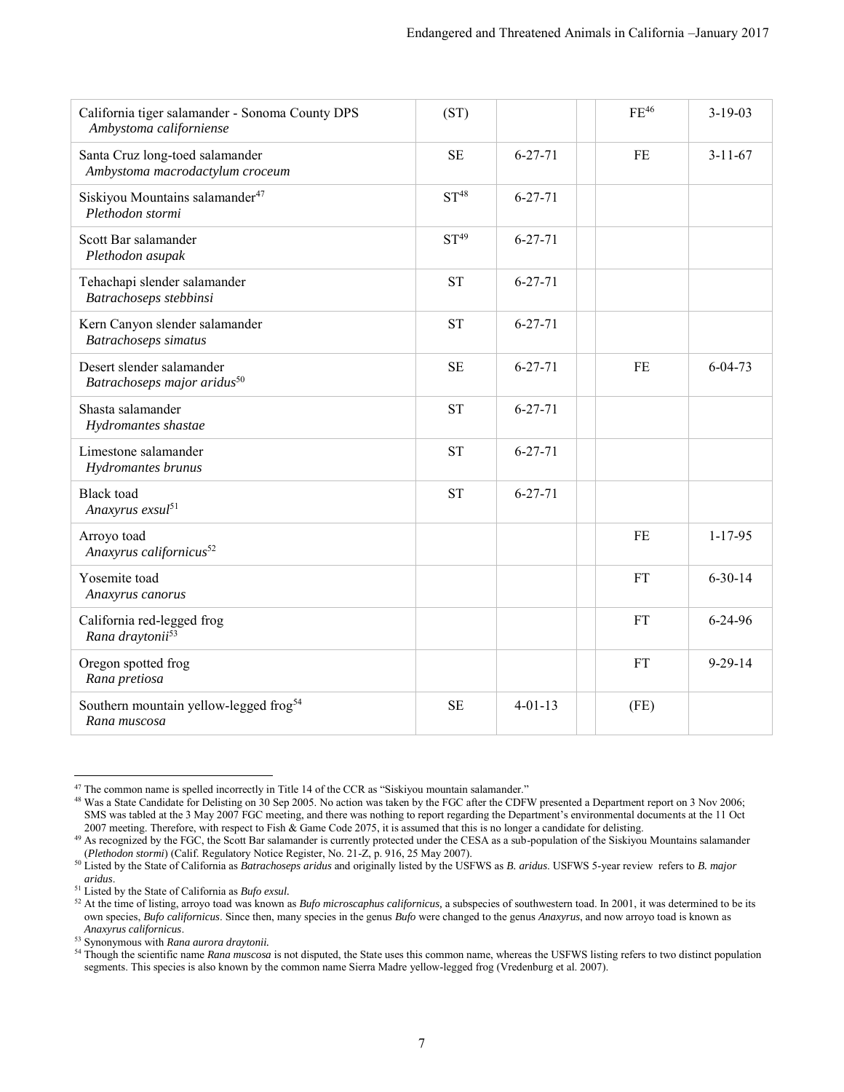| California tiger salamander - Sonoma County DPS<br>Ambystoma californiense | (ST)             |               | $FE^{46}$ | $3-19-03$     |
|----------------------------------------------------------------------------|------------------|---------------|-----------|---------------|
| Santa Cruz long-toed salamander<br>Ambystoma macrodactylum croceum         | $\rm SE$         | $6 - 27 - 71$ | FE        | $3 - 11 - 67$ |
| Siskiyou Mountains salamander <sup>47</sup><br>Plethodon stormi            | ST <sup>48</sup> | $6 - 27 - 71$ |           |               |
| Scott Bar salamander<br>Plethodon asupak                                   | $ST^{49}$        | $6 - 27 - 71$ |           |               |
| Tehachapi slender salamander<br>Batrachoseps stebbinsi                     | <b>ST</b>        | $6 - 27 - 71$ |           |               |
| Kern Canyon slender salamander<br><b>Batrachoseps</b> simatus              | <b>ST</b>        | $6 - 27 - 71$ |           |               |
| Desert slender salamander<br>Batrachoseps major aridus <sup>50</sup>       | <b>SE</b>        | $6 - 27 - 71$ | <b>FE</b> | $6 - 04 - 73$ |
| Shasta salamander<br>Hydromantes shastae                                   | <b>ST</b>        | $6 - 27 - 71$ |           |               |
| Limestone salamander<br>Hydromantes brunus                                 | <b>ST</b>        | $6 - 27 - 71$ |           |               |
| <b>Black</b> toad<br>Anaxyrus exsul <sup>51</sup>                          | <b>ST</b>        | $6 - 27 - 71$ |           |               |
| Arroyo toad<br>Anaxyrus californicus <sup>52</sup>                         |                  |               | FE        | $1 - 17 - 95$ |
| Yosemite toad<br>Anaxyrus canorus                                          |                  |               | FT        | $6 - 30 - 14$ |
| California red-legged frog<br>Rana draytonii <sup>53</sup>                 |                  |               | <b>FT</b> | $6 - 24 - 96$ |
| Oregon spotted frog<br>Rana pretiosa                                       |                  |               | FT        | $9 - 29 - 14$ |
| Southern mountain yellow-legged frog <sup>54</sup><br>Rana muscosa         | <b>SE</b>        | $4 - 01 - 13$ | (FE)      |               |

 $\overline{a}$  $47$  The common name is spelled incorrectly in Title 14 of the CCR as "Siskiyou mountain salamander."

<sup>&</sup>lt;sup>48</sup> Was a State Candidate for Delisting on 30 Sep 2005. No action was taken by the FGC after the CDFW presented a Department report on 3 Nov 2006; SMS was tabled at the 3 May 2007 FGC meeting, and there was nothing to report regarding the Department's environmental documents at the 11 Oct 2007 meeting. Therefore, with respect to Fish & Game Code 2075, it is assumed that this is no longer a candidate for delisting.

<sup>&</sup>lt;sup>49</sup> As recognized by the FGC, the Scott Bar salamander is currently protected under the CESA as a sub-population of the Siskiyou Mountains salamander (*Plethodon stormi*) (Calif. Regulatory Notice Register, No. 21-Z, p. 916, 25 May 2007).

<sup>50</sup> Listed by the State of California as *Batrachoseps aridus* and originally listed by the USFWS as *B. aridus*. USFWS 5-year review refers to *B. major aridus*.

<sup>51</sup> Listed by the State of California as *Bufo exsul.*

<sup>&</sup>lt;sup>52</sup> At the time of listing, arroyo toad was known as *Bufo microscaphus californicus*, a subspecies of southwestern toad. In 2001, it was determined to be its own species, *Bufo californicus*. Since then, many species in the genus *Bufo* were changed to the genus *Anaxyrus*, and now arroyo toad is known as *Anaxyrus californicus*.

<sup>53</sup> Synonymous with *Rana aurora draytonii.* 

<sup>&</sup>lt;sup>54</sup> Though the scientific name *Rana muscosa* is not disputed, the State uses this common name, whereas the USFWS listing refers to two distinct population segments. This species is also known by the common name Sierra Madre yellow-legged frog (Vredenburg et al. 2007).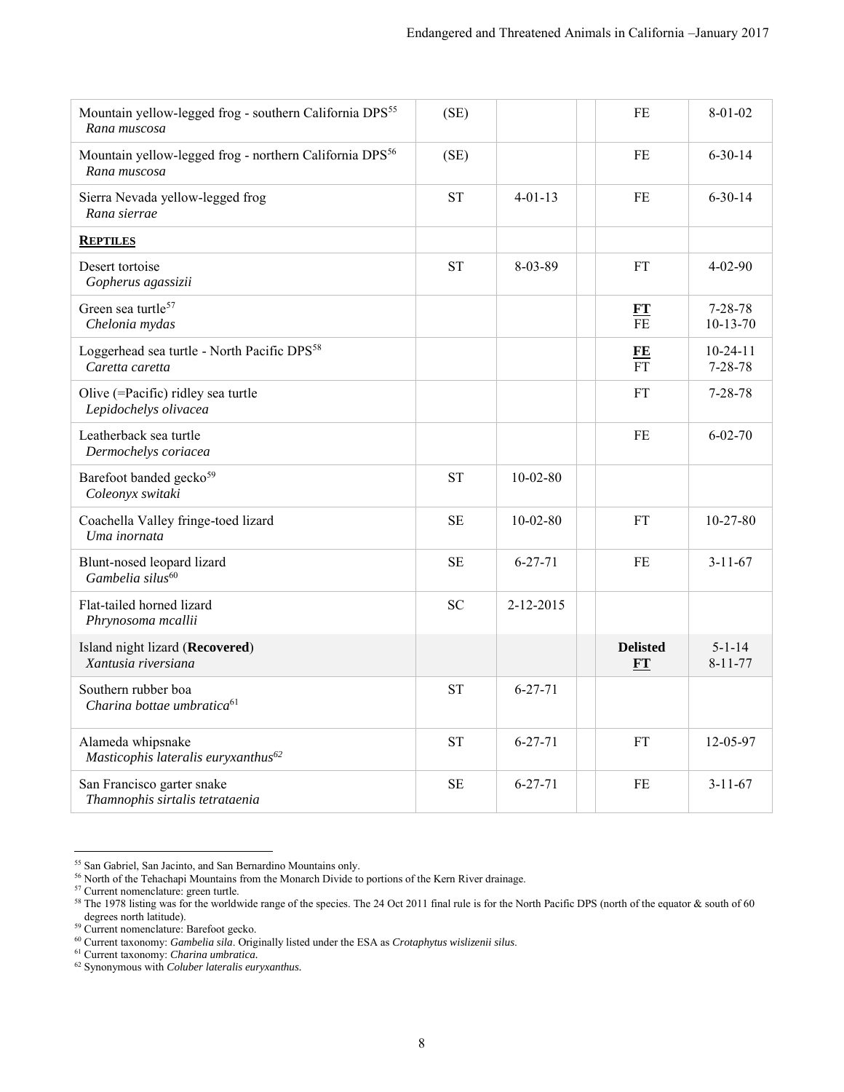<span id="page-7-0"></span>

| Mountain yellow-legged frog - southern California DPS <sup>55</sup><br>Rana muscosa | (SE)      |                | FE                            | $8 - 01 - 02$                   |
|-------------------------------------------------------------------------------------|-----------|----------------|-------------------------------|---------------------------------|
| Mountain yellow-legged frog - northern California DPS <sup>56</sup><br>Rana muscosa | (SE)      |                | FE                            | $6 - 30 - 14$                   |
| Sierra Nevada yellow-legged frog<br>Rana sierrae                                    | <b>ST</b> | $4 - 01 - 13$  | FE                            | $6 - 30 - 14$                   |
| <b>REPTILES</b>                                                                     |           |                |                               |                                 |
| Desert tortoise<br>Gopherus agassizii                                               | <b>ST</b> | $8 - 03 - 89$  | FT                            | $4 - 02 - 90$                   |
| Green sea turtle <sup>57</sup><br>Chelonia mydas                                    |           |                | $\frac{FT}{FE}$               | $7 - 28 - 78$<br>$10 - 13 - 70$ |
| Loggerhead sea turtle - North Pacific DPS <sup>58</sup><br>Caretta caretta          |           |                | $\frac{FE}{FT}$               | $10 - 24 - 11$<br>$7 - 28 - 78$ |
| Olive (=Pacific) ridley sea turtle<br>Lepidochelys olivacea                         |           |                | FT                            | $7 - 28 - 78$                   |
| Leatherback sea turtle<br>Dermochelys coriacea                                      |           |                | FE                            | $6 - 02 - 70$                   |
| Barefoot banded gecko <sup>59</sup><br>Coleonyx switaki                             | <b>ST</b> | $10 - 02 - 80$ |                               |                                 |
| Coachella Valley fringe-toed lizard<br>Uma inornata                                 | <b>SE</b> | $10-02-80$     | <b>FT</b>                     | $10 - 27 - 80$                  |
| Blunt-nosed leopard lizard<br>Gambelia silus <sup>60</sup>                          | <b>SE</b> | $6 - 27 - 71$  | FE                            | $3 - 11 - 67$                   |
| Flat-tailed horned lizard<br>Phrynosoma mcallii                                     | <b>SC</b> | 2-12-2015      |                               |                                 |
| Island night lizard (Recovered)<br>Xantusia riversiana                              |           |                | <b>Delisted</b><br>${\bf FT}$ | $5 - 1 - 14$<br>$8 - 11 - 77$   |
| Southern rubber boa<br>Charina bottae umbratica <sup>61</sup>                       | <b>ST</b> | $6 - 27 - 71$  |                               |                                 |
| Alameda whipsnake<br>Masticophis lateralis euryxanthus <sup>62</sup>                | <b>ST</b> | $6 - 27 - 71$  | <b>FT</b>                     | 12-05-97                        |
| San Francisco garter snake<br>Thamnophis sirtalis tetrataenia                       | <b>SE</b> | $6 - 27 - 71$  | FE                            | $3 - 11 - 67$                   |

 $\overline{a}$ <sup>55</sup> San Gabriel, San Jacinto, and San Bernardino Mountains only.

<sup>&</sup>lt;sup>56</sup> North of the Tehachapi Mountains from the Monarch Divide to portions of the Kern River drainage.

<sup>57</sup> Current nomenclature: green turtle.

<sup>&</sup>lt;sup>58</sup> The 1978 listing was for the worldwide range of the species. The 24 Oct 2011 final rule is for the North Pacific DPS (north of the equator  $\&$  south of 60 degrees north latitude).

<sup>59</sup> Current nomenclature: Barefoot gecko.

<sup>60</sup> Current taxonomy: *Gambelia sila*. Originally listed under the ESA as *Crotaphytus wislizenii silus*.

<sup>61</sup> Current taxonomy: *Charina umbratica.*

<sup>62</sup> Synonymous with *Coluber lateralis euryxanthus.*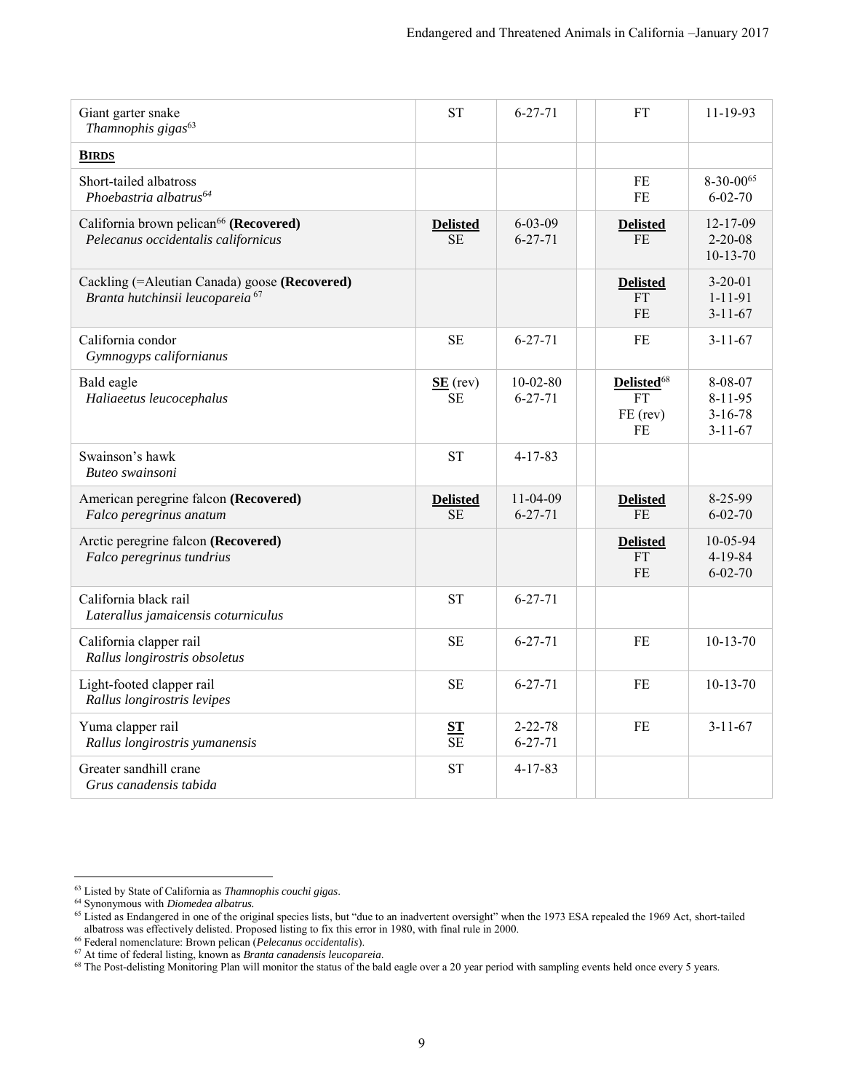<span id="page-8-0"></span>

| Giant garter snake<br>Thamnophis gigas <sup>63</sup>                                          | <b>ST</b>                    | $6 - 27 - 71$                  | <b>FT</b>                                             | $11 - 19 - 93$                                       |
|-----------------------------------------------------------------------------------------------|------------------------------|--------------------------------|-------------------------------------------------------|------------------------------------------------------|
| <b>BIRDS</b>                                                                                  |                              |                                |                                                       |                                                      |
| Short-tailed albatross<br>Phoebastria albatrus <sup>64</sup>                                  |                              |                                | FE<br><b>FE</b>                                       | $8-30-00^{65}$<br>$6 - 02 - 70$                      |
| California brown pelican <sup>66</sup> (Recovered)<br>Pelecanus occidentalis californicus     | <b>Delisted</b><br><b>SE</b> | $6 - 03 - 09$<br>$6 - 27 - 71$ | <b>Delisted</b><br><b>FE</b>                          | 12-17-09<br>$2 - 20 - 08$<br>$10 - 13 - 70$          |
| Cackling (= Aleutian Canada) goose (Recovered)<br>Branta hutchinsii leucopareia <sup>67</sup> |                              |                                | <b>Delisted</b><br>FT<br><b>FE</b>                    | $3 - 20 - 01$<br>$1 - 11 - 91$<br>$3 - 11 - 67$      |
| California condor<br>Gymnogyps californianus                                                  | <b>SE</b>                    | $6 - 27 - 71$                  | <b>FE</b>                                             | $3 - 11 - 67$                                        |
| Bald eagle<br>Haliaeetus leucocephalus                                                        | $SE$ (rev)<br>SE             | $10-02-80$<br>$6 - 27 - 71$    | Delisted <sup>68</sup><br><b>FT</b><br>FE (rev)<br>FE | 8-08-07<br>8-11-95<br>$3 - 16 - 78$<br>$3 - 11 - 67$ |
| Swainson's hawk<br>Buteo swainsoni                                                            | <b>ST</b>                    | $4 - 17 - 83$                  |                                                       |                                                      |
| American peregrine falcon (Recovered)<br>Falco peregrinus anatum                              | <b>Delisted</b><br><b>SE</b> | $11-04-09$<br>$6 - 27 - 71$    | <b>Delisted</b><br>F <sub>E</sub>                     | 8-25-99<br>$6 - 02 - 70$                             |
| Arctic peregrine falcon (Recovered)<br>Falco peregrinus tundrius                              |                              |                                | <b>Delisted</b><br><b>FT</b><br>FE                    | 10-05-94<br>4-19-84<br>$6 - 02 - 70$                 |
| California black rail<br>Laterallus jamaicensis coturniculus                                  | <b>ST</b>                    | $6 - 27 - 71$                  |                                                       |                                                      |
| California clapper rail<br>Rallus longirostris obsoletus                                      | <b>SE</b>                    | $6 - 27 - 71$                  | FE                                                    | $10-13-70$                                           |
| Light-footed clapper rail<br>Rallus longirostris levipes                                      | <b>SE</b>                    | $6 - 27 - 71$                  | FE                                                    | $10-13-70$                                           |
| Yuma clapper rail<br>Rallus longirostris yumanensis                                           | $rac{\text{ST}}{\text{SE}}$  | $2 - 22 - 78$<br>$6 - 27 - 71$ | <b>FE</b>                                             | $3 - 11 - 67$                                        |
| Greater sandhill crane<br>Grus canadensis tabida                                              | <b>ST</b>                    | $4 - 17 - 83$                  |                                                       |                                                      |

 $\overline{a}$ <sup>63</sup> Listed by State of California as *Thamnophis couchi gigas*.

<sup>64</sup> Synonymous with *Diomedea albatrus.*

<sup>&</sup>lt;sup>65</sup> Listed as Endangered in one of the original species lists, but "due to an inadvertent oversight" when the 1973 ESA repealed the 1969 Act, short-tailed albatross was effectively delisted. Proposed listing to fix this error in 1980, with final rule in 2000.

<sup>66</sup> Federal nomenclature: Brown pelican (*Pelecanus occidentalis*).

<sup>67</sup> At time of federal listing, known as *Branta canadensis leucopareia*.

<sup>&</sup>lt;sup>68</sup> The Post-delisting Monitoring Plan will monitor the status of the bald eagle over a 20 year period with sampling events held once every 5 years.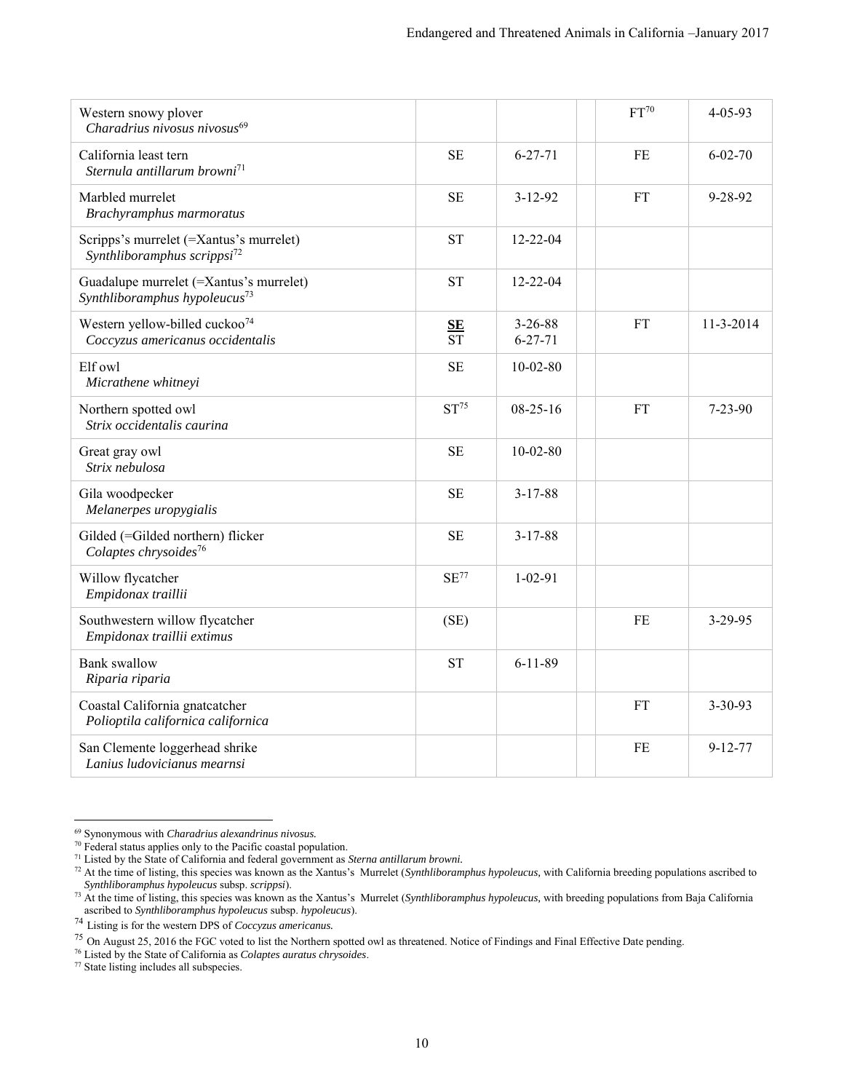| Western snowy plover<br>Charadrius nivosus nivosus <sup>69</sup>                     |                                   |                                | FT <sup>70</sup> | $4 - 05 - 93$ |
|--------------------------------------------------------------------------------------|-----------------------------------|--------------------------------|------------------|---------------|
| California least tern<br>Sternula antillarum browni <sup>71</sup>                    | <b>SE</b>                         | $6 - 27 - 71$                  | <b>FE</b>        | $6 - 02 - 70$ |
| Marbled murrelet<br>Brachyramphus marmoratus                                         | <b>SE</b>                         | $3 - 12 - 92$                  | <b>FT</b>        | 9-28-92       |
| Scripps's murrelet (=Xantus's murrelet)<br>Synthliboramphus scrippsi <sup>72</sup>   | <b>ST</b>                         | $12 - 22 - 04$                 |                  |               |
| Guadalupe murrelet (=Xantus's murrelet)<br>Synthliboramphus hypoleucus <sup>73</sup> | <b>ST</b>                         | $12 - 22 - 04$                 |                  |               |
| Western yellow-billed cuckoo <sup>74</sup><br>Coccyzus americanus occidentalis       | $S_{E}$<br>$\overline{\text{ST}}$ | $3 - 26 - 88$<br>$6 - 27 - 71$ | <b>FT</b>        | 11-3-2014     |
| Elf owl<br>Micrathene whitneyi                                                       | <b>SE</b>                         | $10-02-80$                     |                  |               |
| Northern spotted owl<br>Strix occidentalis caurina                                   | ST <sup>75</sup>                  | $08-25-16$                     | <b>FT</b>        | $7 - 23 - 90$ |
| Great gray owl<br>Strix nebulosa                                                     | <b>SE</b>                         | $10 - 02 - 80$                 |                  |               |
| Gila woodpecker<br>Melanerpes uropygialis                                            | <b>SE</b>                         | $3 - 17 - 88$                  |                  |               |
| Gilded (=Gilded northern) flicker<br>Colaptes chrysoides <sup>76</sup>               | <b>SE</b>                         | $3 - 17 - 88$                  |                  |               |
| Willow flycatcher<br>Empidonax traillii                                              | SE <sup>77</sup>                  | $1 - 02 - 91$                  |                  |               |
| Southwestern willow flycatcher<br>Empidonax traillii extimus                         | (SE)                              |                                | FE               | 3-29-95       |
| <b>Bank</b> swallow<br>Riparia riparia                                               | <b>ST</b>                         | $6 - 11 - 89$                  |                  |               |
| Coastal California gnatcatcher<br>Polioptila californica californica                 |                                   |                                | <b>FT</b>        | $3 - 30 - 93$ |
| San Clemente loggerhead shrike<br>Lanius ludovicianus mearnsi                        |                                   |                                | FE               | $9 - 12 - 77$ |

<sup>69</sup> Synonymous with *Charadrius alexandrinus nivosus.*

<sup>&</sup>lt;sup>70</sup> Federal status applies only to the Pacific coastal population.

<sup>71</sup> Listed by the State of California and federal government as *Sterna antillarum browni.* 

<sup>72</sup> At the time of listing, this species was known as the Xantus's Murrelet (*Synthliboramphus hypoleucus,* with California breeding populations ascribed to *Synthliboramphus hypoleucus* subsp. *scrippsi*).

<sup>73</sup> At the time of listing, this species was known as the Xantus's Murrelet (*Synthliboramphus hypoleucus,* with breeding populations from Baja California ascribed to *Synthliboramphus hypoleucus* subsp. *hypoleucus*).

<sup>74</sup> Listing is for the western DPS of *Coccyzus americanus.*

<sup>75</sup> On August 25, 2016 the FGC voted to list the Northern spotted owl as threatened. Notice of Findings and Final Effective Date pending.

<sup>76</sup> Listed by the State of California as *Colaptes auratus chrysoides*.

<sup>77</sup> State listing includes all subspecies.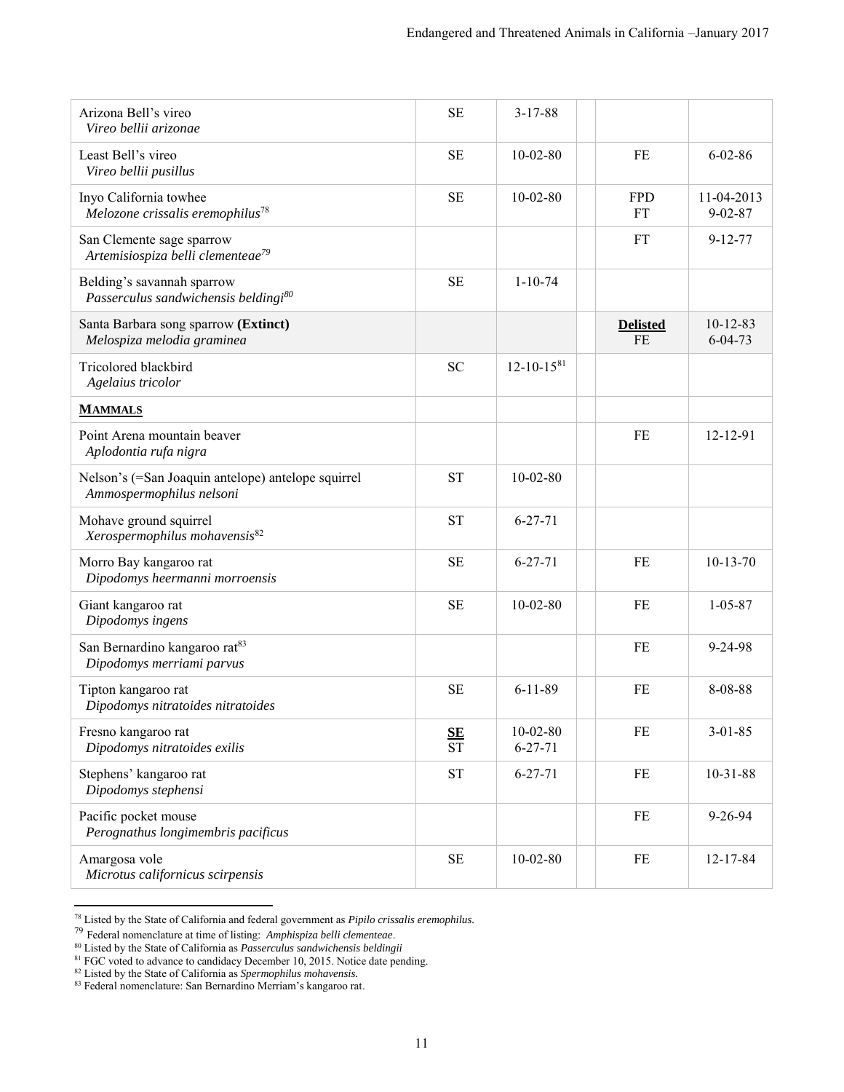<span id="page-10-0"></span>

| Arizona Bell's vireo<br>Vireo bellii arizonae                                  | <b>SE</b>                   | $3-17-88$                   |                              |                             |
|--------------------------------------------------------------------------------|-----------------------------|-----------------------------|------------------------------|-----------------------------|
| Least Bell's vireo<br>Vireo bellii pusillus                                    | <b>SE</b>                   | $10-02-80$                  | FE                           | $6 - 02 - 86$               |
| Inyo California towhee<br>Melozone crissalis eremophilus <sup>78</sup>         | <b>SE</b>                   | $10 - 02 - 80$              | <b>FPD</b><br>FT             | 11-04-2013<br>$9 - 02 - 87$ |
| San Clemente sage sparrow<br>Artemisiospiza belli clementeae <sup>79</sup>     |                             |                             | <b>FT</b>                    | $9 - 12 - 77$               |
| Belding's savannah sparrow<br>Passerculus sandwichensis beldingi <sup>80</sup> | <b>SE</b>                   | $1 - 10 - 74$               |                              |                             |
| Santa Barbara song sparrow (Extinct)<br>Melospiza melodia graminea             |                             |                             | <b>Delisted</b><br><b>FE</b> | $10-12-83$<br>$6 - 04 - 73$ |
| Tricolored blackbird<br>Agelaius tricolor                                      | <b>SC</b>                   | $12 - 10 - 1581$            |                              |                             |
| <b>MAMMALS</b>                                                                 |                             |                             |                              |                             |
| Point Arena mountain beaver<br>Aplodontia rufa nigra                           |                             |                             | FE                           | 12-12-91                    |
| Nelson's (=San Joaquin antelope) antelope squirrel<br>Ammospermophilus nelsoni | <b>ST</b>                   | $10 - 02 - 80$              |                              |                             |
| Mohave ground squirrel<br>Xerospermophilus mohavensis <sup>82</sup>            | <b>ST</b>                   | $6 - 27 - 71$               |                              |                             |
| Morro Bay kangaroo rat<br>Dipodomys heermanni morroensis                       | <b>SE</b>                   | $6 - 27 - 71$               | FE                           | $10-13-70$                  |
| Giant kangaroo rat<br>Dipodomys ingens                                         | <b>SE</b>                   | $10 - 02 - 80$              | FE                           | $1 - 05 - 87$               |
| San Bernardino kangaroo rat <sup>83</sup><br>Dipodomys merriami parvus         |                             |                             | FE                           | $9 - 24 - 98$               |
| Tipton kangaroo rat<br>Dipodomys nitratoides nitratoides                       | <b>SE</b>                   | $6 - 11 - 89$               | FE                           | 8-08-88                     |
| Fresno kangaroo rat<br>Dipodomys nitratoides exilis                            | $rac{\text{SE}}{\text{ST}}$ | $10-02-80$<br>$6 - 27 - 71$ | FE                           | $3 - 01 - 85$               |
| Stephens' kangaroo rat<br>Dipodomys stephensi                                  | <b>ST</b>                   | $6 - 27 - 71$               | FE                           | $10-31-88$                  |
| Pacific pocket mouse<br>Perognathus longimembris pacificus                     |                             |                             | FE                           | 9-26-94                     |
| Amargosa vole<br>Microtus californicus scirpensis                              | <b>SE</b>                   | $10-02-80$                  | FE                           | 12-17-84                    |

<sup>78</sup> Listed by the State of California and federal government as *Pipilo crissalis eremophilus.* 

<sup>80</sup> Listed by the State of California as *Passerculus sandwichensis beldingii*

<sup>79</sup> Federal nomenclature at time of listing: *Amphispiza belli clementeae*.

<sup>&</sup>lt;sup>81</sup> FGC voted to advance to candidacy December 10, 2015. Notice date pending.

<sup>82</sup> Listed by the State of California as *Spermophilus mohavensis.*

<sup>83</sup> Federal nomenclature: San Bernardino Merriam's kangaroo rat.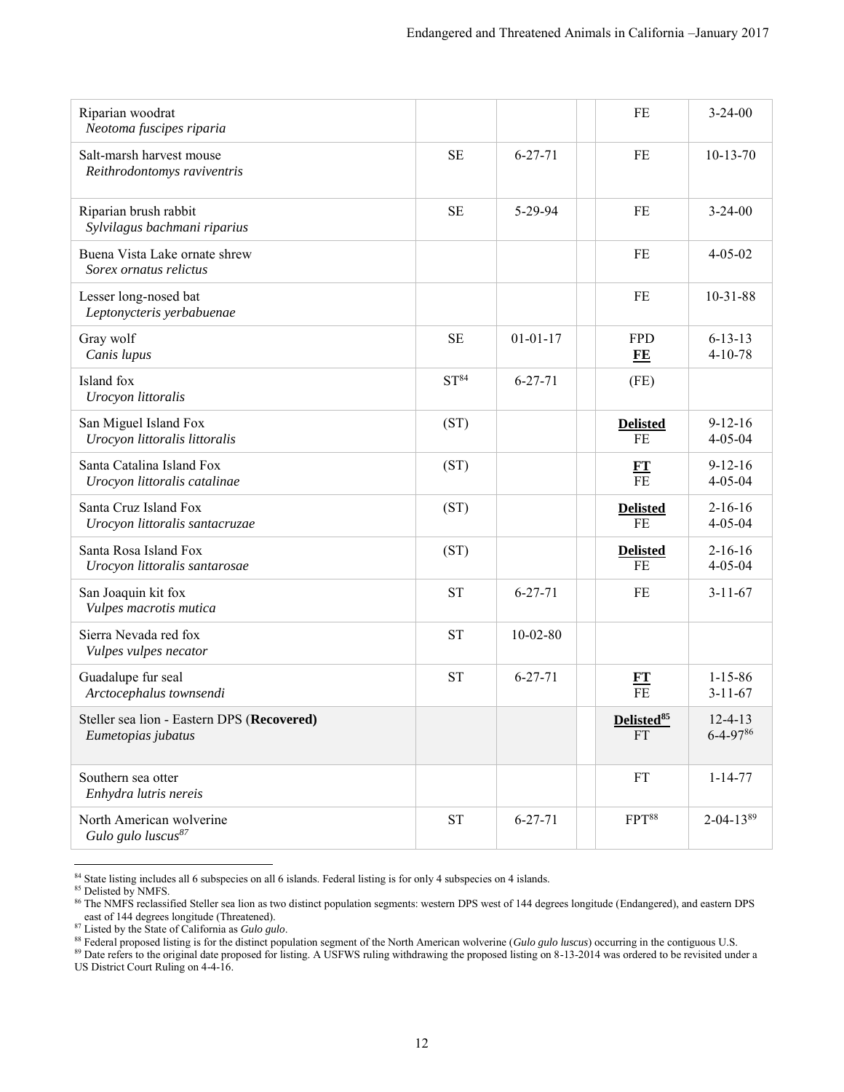| Riparian woodrat<br>Neotoma fuscipes riparia                     |                  |                | FE                                  | $3 - 24 - 00$                   |
|------------------------------------------------------------------|------------------|----------------|-------------------------------------|---------------------------------|
| Salt-marsh harvest mouse<br>Reithrodontomys raviventris          | <b>SE</b>        | $6 - 27 - 71$  | FE                                  | $10-13-70$                      |
| Riparian brush rabbit<br>Sylvilagus bachmani riparius            | <b>SE</b>        | 5-29-94        | FE                                  | $3 - 24 - 00$                   |
| Buena Vista Lake ornate shrew<br>Sorex ornatus relictus          |                  |                | FE                                  | $4 - 05 - 02$                   |
| Lesser long-nosed bat<br>Leptonycteris yerbabuenae               |                  |                | FE                                  | $10-31-88$                      |
| Gray wolf<br>Canis lupus                                         | <b>SE</b>        | $01 - 01 - 17$ | <b>FPD</b><br>FE                    | $6 - 13 - 13$<br>$4 - 10 - 78$  |
| Island fox<br>Urocyon littoralis                                 | ST <sup>84</sup> | $6 - 27 - 71$  | (FE)                                |                                 |
| San Miguel Island Fox<br>Urocyon littoralis littoralis           | (ST)             |                | <b>Delisted</b><br>FE               | $9 - 12 - 16$<br>$4 - 05 - 04$  |
| Santa Catalina Island Fox<br>Urocyon littoralis catalinae        | (ST)             |                | $\frac{FT}{FE}$                     | $9 - 12 - 16$<br>$4 - 05 - 04$  |
| Santa Cruz Island Fox<br>Urocyon littoralis santacruzae          | (ST)             |                | <b>Delisted</b><br>FE               | $2 - 16 - 16$<br>$4 - 05 - 04$  |
| Santa Rosa Island Fox<br>Urocyon littoralis santarosae           | (ST)             |                | <b>Delisted</b><br>FE               | $2 - 16 - 16$<br>$4 - 05 - 04$  |
| San Joaquin kit fox<br>Vulpes macrotis mutica                    | <b>ST</b>        | $6 - 27 - 71$  | FE                                  | $3 - 11 - 67$                   |
| Sierra Nevada red fox<br>Vulpes vulpes necator                   | <b>ST</b>        | $10 - 02 - 80$ |                                     |                                 |
| Guadalupe fur seal<br>Arctocephalus townsendi                    | <b>ST</b>        | $6 - 27 - 71$  | $\frac{FT}{FE}$                     | $1 - 15 - 86$<br>$3 - 11 - 67$  |
| Steller sea lion - Eastern DPS (Recovered)<br>Eumetopias jubatus |                  |                | Delisted <sup>85</sup><br><b>FT</b> | $12 - 4 - 13$<br>$6 - 4 - 9786$ |
| Southern sea otter<br>Enhydra lutris nereis                      |                  |                | <b>FT</b>                           | $1 - 14 - 77$                   |
| North American wolverine<br>Gulo gulo luscus <sup>87</sup>       | <b>ST</b>        | $6 - 27 - 71$  | FPT <sup>88</sup>                   | $2 - 04 - 13^{89}$              |

 $\overline{a}$ <sup>84</sup> State listing includes all 6 subspecies on all 6 islands. Federal listing is for only 4 subspecies on 4 islands.

85 Delisted by NMFS.

<sup>88</sup> Federal proposed listing is for the distinct population segment of the North American wolverine (*Gulo gulo luscus*) occurring in the contiguous U.S.

<sup>89</sup> Date refers to the original date proposed for listing. A USFWS ruling withdrawing the proposed listing on 8-13-2014 was ordered to be revisited under a US District Court Ruling on 4-4-16.

<sup>&</sup>lt;sup>86</sup> The NMFS reclassified Steller sea lion as two distinct population segments: western DPS west of 144 degrees longitude (Endangered), and eastern DPS east of 144 degrees longitude (Threatened).

<sup>87</sup> Listed by the State of California as *Gulo gulo*.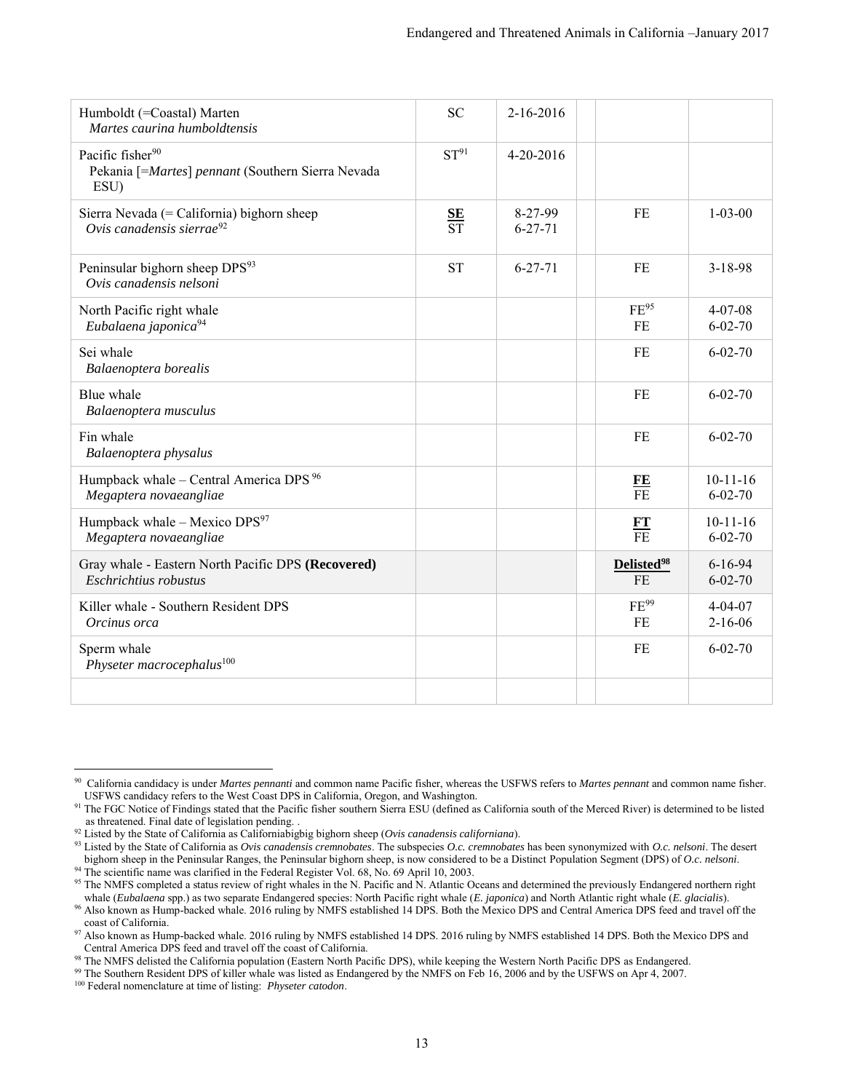| Humboldt (=Coastal) Marten<br>Martes caurina humboldtensis                                | <b>SC</b>                            | $2 - 16 - 2016$                |                                     |                                 |
|-------------------------------------------------------------------------------------------|--------------------------------------|--------------------------------|-------------------------------------|---------------------------------|
| Pacific fisher <sup>90</sup><br>Pekania [=Martes] pennant (Southern Sierra Nevada<br>ESU) | ST <sup>91</sup>                     | $4 - 20 - 2016$                |                                     |                                 |
| Sierra Nevada (= California) bighorn sheep<br>Ovis canadensis sierrae <sup>92</sup>       | ${\bf SE}$<br>$\overline{\text{ST}}$ | $8 - 27 - 99$<br>$6 - 27 - 71$ | <b>FE</b>                           | $1 - 03 - 00$                   |
| Peninsular bighorn sheep DPS <sup>93</sup><br>Ovis canadensis nelsoni                     | <b>ST</b>                            | $6 - 27 - 71$                  | <b>FE</b>                           | $3 - 18 - 98$                   |
| North Pacific right whale<br>Eubalaena japonica <sup>94</sup>                             |                                      |                                | $FE^{95}$<br>FE                     | $4 - 07 - 08$<br>$6 - 02 - 70$  |
| Sei whale<br>Balaenoptera borealis                                                        |                                      |                                | FE                                  | $6 - 02 - 70$                   |
| Blue whale<br>Balaenoptera musculus                                                       |                                      |                                | FE                                  | $6 - 02 - 70$                   |
| Fin whale<br>Balaenoptera physalus                                                        |                                      |                                | <b>FE</b>                           | $6 - 02 - 70$                   |
| Humpback whale – Central America DPS <sup>96</sup><br>Megaptera novaeangliae              |                                      |                                | FE<br>$\overline{FE}$               | $10-11-16$<br>$6 - 02 - 70$     |
| Humpback whale - Mexico DPS <sup>97</sup><br>Megaptera novaeangliae                       |                                      |                                | $\frac{FT}{FE}$                     | $10 - 11 - 16$<br>$6 - 02 - 70$ |
| Gray whale - Eastern North Pacific DPS (Recovered)<br>Eschrichtius robustus               |                                      |                                | Delisted <sup>98</sup><br><b>FE</b> | $6 - 16 - 94$<br>$6 - 02 - 70$  |
| Killer whale - Southern Resident DPS<br>Orcinus orca                                      |                                      |                                | FE <sup>99</sup><br>FE              | $4 - 04 - 07$<br>$2 - 16 - 06$  |
| Sperm whale<br>Physeter macrocephalus <sup>100</sup>                                      |                                      |                                | FE                                  | $6 - 02 - 70$                   |
|                                                                                           |                                      |                                |                                     |                                 |

 $\overline{a}$ 90 California candidacy is under *Martes pennanti* and common name Pacific fisher, whereas the USFWS refers to *Martes pennant* and common name fisher. USFWS candidacy refers to the West Coast DPS in California, Oregon, and Washington.

<sup>91</sup> The FGC Notice of Findings stated that the Pacific fisher southern Sierra ESU (defined as California south of the Merced River) is determined to be listed as threatened. Final date of legislation pending. .

<sup>92</sup> Listed by the State of California as Californiabigbig bighorn sheep (*Ovis canadensis californiana*).

<sup>93</sup> Listed by the State of California as *Ovis canadensis cremnobates*. The subspecies *O.c. cremnobates* has been synonymized with *O.c. nelsoni*. The desert bighorn sheep in the Peninsular Ranges, the Peninsular bighorn sheep, is now considered to be a Distinct Population Segment (DPS) of *O.c. nelsoni*. <sup>94</sup> The scientific name was clarified in the Federal Register Vol. 68, No. 69 April 10, 2003.

<sup>&</sup>lt;sup>95</sup> The NMFS completed a status review of right whales in the N. Pacific and N. Atlantic Oceans and determined the previously Endangered northern right whale (*Eubalaena* spp.) as two separate Endangered species: North Pacific right whale (*E. japonica*) and North Atlantic right whale (*E. glacialis*).

<sup>&</sup>lt;sup>96</sup> Also known as Hump-backed whale. 2016 ruling by NMFS established 14 DPS. Both the Mexico DPS and Central America DPS feed and travel off the coast of California.

<sup>&</sup>lt;sup>97</sup> Also known as Hump-backed whale. 2016 ruling by NMFS established 14 DPS. 2016 ruling by NMFS established 14 DPS. Both the Mexico DPS and Central America DPS feed and travel off the coast of California.

<sup>98</sup> The NMFS delisted the California population (Eastern North Pacific DPS), while keeping the Western North Pacific DPS as Endangered.

<sup>99</sup> The Southern Resident DPS of killer whale was listed as Endangered by the NMFS on Feb 16, 2006 and by the USFWS on Apr 4, 2007.

<sup>100</sup> Federal nomenclature at time of listing: *Physeter catodon*.